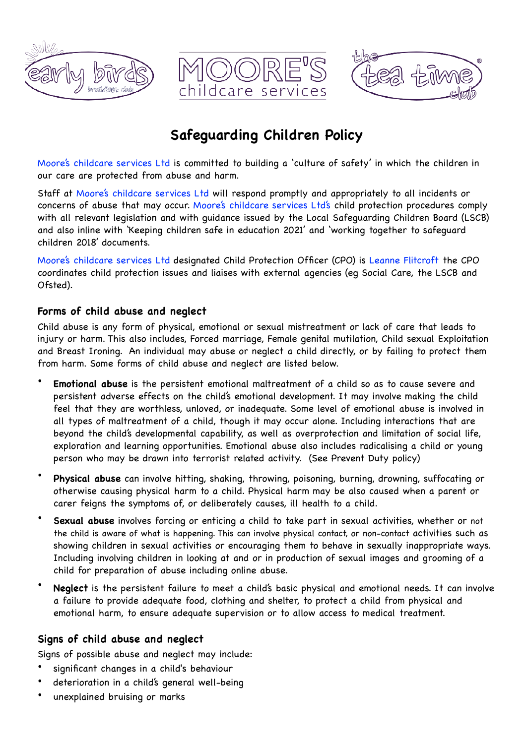





# **Safeguarding Children Policy**

Moore's childcare services Ltd is committed to building a 'culture of safety' in which the children in our care are protected from abuse and harm.

Staff at Moore's childcare services Ltd will respond promptly and appropriately to all incidents or concerns of abuse that may occur. Moore's childcare services Ltd's child protection procedures comply with all relevant legislation and with guidance issued by the Local Safeguarding Children Board (LSCB) and also inline with 'Keeping children safe in education 2021' and 'working together to safeguard children 2018' documents.

Moore's childcare services Ltd designated Child Protection Officer (CPO) is Leanne Flitcroft the CPO coordinates child protection issues and liaises with external agencies (eg Social Care, the LSCB and Ofsted).

## **Forms of child abuse and neglect**

Child abuse is any form of physical, emotional or sexual mistreatment or lack of care that leads to injury or harm. This also includes, Forced marriage, Female genital mutilation, Child sexual Exploitation and Breast Ironing. An individual may abuse or neglect a child directly, or by failing to protect them from harm. Some forms of child abuse and neglect are listed below.

- **Emotional abuse** is the persistent emotional maltreatment of a child so as to cause severe and persistent adverse effects on the child's emotional development. It may involve making the child feel that they are worthless, unloved, or inadequate. Some level of emotional abuse is involved in all types of maltreatment of a child, though it may occur alone. Including interactions that are beyond the child's developmental capability, as well as overprotection and limitation of social life, exploration and learning opportunities. Emotional abuse also includes radicalising a child or young person who may be drawn into terrorist related activity. (See Prevent Duty policy)
- **Physical abuse** can involve hitting, shaking, throwing, poisoning, burning, drowning, suffocating or otherwise causing physical harm to a child. Physical harm may be also caused when a parent or carer feigns the symptoms of, or deliberately causes, ill health to a child.
- **Sexual abuse** involves forcing or enticing a child to take part in sexual activities, whether or not the child is aware of what is happening. This can involve physical contact, or non-contact activities such as showing children in sexual activities or encouraging them to behave in sexually inappropriate ways. Including involving children in looking at and or in production of sexual images and grooming of a child for preparation of abuse including online abuse.
- **Neglect** is the persistent failure to meet a child's basic physical and emotional needs. It can involve a failure to provide adequate food, clothing and shelter, to protect a child from physical and emotional harm, to ensure adequate supervision or to allow access to medical treatment.

# **Signs of child abuse and neglect**

Signs of possible abuse and neglect may include:

- significant changes in a child's behaviour
- deterioration in a child's general well-being
- unexplained bruising or marks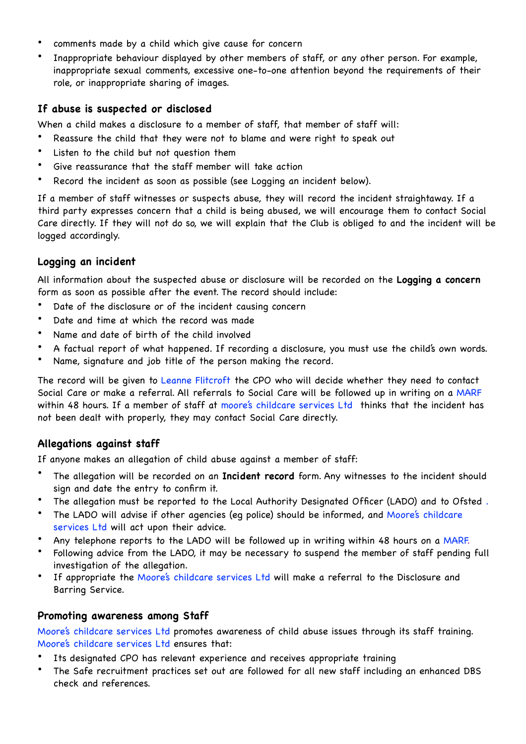- comments made by a child which give cause for concern
- Inappropriate behaviour displayed by other members of staff, or any other person. For example, inappropriate sexual comments, excessive one-to-one attention beyond the requirements of their role, or inappropriate sharing of images.

## **If abuse is suspected or disclosed**

When a child makes a disclosure to a member of staff, that member of staff will:

- Reassure the child that they were not to blame and were right to speak out
- Listen to the child but not question them
- Give reassurance that the staff member will take action
- Record the incident as soon as possible (see Logging an incident below).

If a member of staff witnesses or suspects abuse, they will record the incident straightaway. If a third party expresses concern that a child is being abused, we will encourage them to contact Social Care directly. If they will not do so, we will explain that the Club is obliged to and the incident will be logged accordingly.

## **Logging an incident**

All information about the suspected abuse or disclosure will be recorded on the **Logging a concern** form as soon as possible after the event. The record should include:

- Date of the disclosure or of the incident causing concern
- Date and time at which the record was made
- Name and date of birth of the child involved
- A factual report of what happened. If recording a disclosure, you must use the child's own words.
- Name, signature and job title of the person making the record.

The record will be given to Leanne Flitcroft the CPO who will decide whether they need to contact Social Care or make a referral. All referrals to Social Care will be followed up in writing on a MARF within 48 hours. If a member of staff at moore's childcare services Ltd thinks that the incident has not been dealt with properly, they may contact Social Care directly.

# **Allegations against staff**

If anyone makes an allegation of child abuse against a member of staff:

- The allegation will be recorded on an **Incident record** form. Any witnesses to the incident should sign and date the entry to confirm it.
- The allegation must be reported to the Local Authority Designated Officer (LADO) and to Ofsted .
- The LADO will advise if other agencies (eq police) should be informed, and Moore's childcare services Ltd will act upon their advice.
- Any telephone reports to the LADO will be followed up in writing within 48 hours on a MARF.
- Following advice from the LADO, it may be necessary to suspend the member of staff pending full investigation of the allegation.
- If appropriate the Moore's childcare services Ltd will make a referral to the Disclosure and Barring Service.

#### **Promoting awareness among Staff**

Moore's childcare services Ltd promotes awareness of child abuse issues through its staff training. Moore's childcare services Ltd ensures that:

- Its designated CPO has relevant experience and receives appropriate training
- The Safe recruitment practices set out are followed for all new staff including an enhanced DBS check and references.